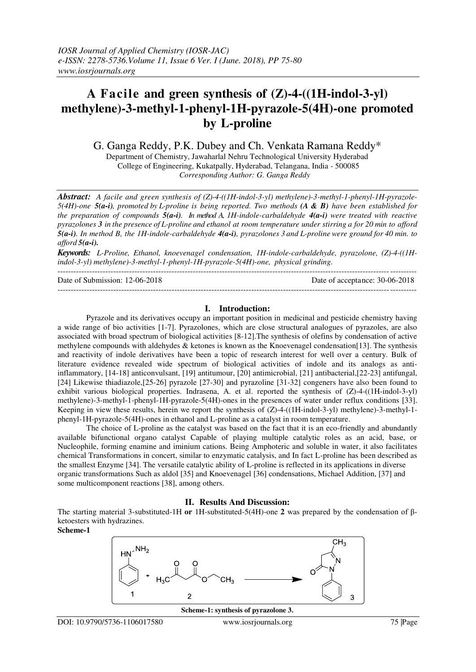# **A Facile and green synthesis of (Z)-4-((1H-indol-3-yl) methylene)-3-methyl-1-phenyl-1H-pyrazole-5(4H)-one promoted by L-proline**

G. Ganga Reddy, P.K. Dubey and Ch. Venkata Ramana Reddy\*

Department of Chemistry, Jawaharlal Nehru Technological University Hyderabad College of Engineering, Kukatpally, Hyderabad, Telangana, India - 500085 *Corresponding Author: G. Ganga Reddy*

*Abstract: A facile and green synthesis of (Z)-4-((1H-indol-3-yl) methylene)-3-methyl-1-phenyl-1H-pyrazole-5(4H)-one 5(a-i), promoted by L-proline is being reported. Two methods (A & B) have been established for the preparation of compounds 5(a-i). In method A, 1H-indole-carbaldehyde 4(a-i) were treated with reactive pyrazolones 3 in the presence of L-proline and ethanol at room temperature under stirring a for 20 min to afford 5(a-i). In method B, the 1H-indole-carbaldehyde 4(a-i), pyrazolones 3 and L-proline were ground for 40 min. to afford 5(a-i).* 

*Keywords: L-Proline, Ethanol, knoevenagel condensation, 1H-indole-carbaldehyde, pyrazolone, (Z)-4-((1Hindol-3-yl) methylene)-3-methyl-1-phenyl-1H-pyrazole-5(4H)-one, physical grinding.* 

----------------------------------------------------------------------------------------------------------------------------- ---------- Date of Submission: 12-06-2018 Date of acceptance: 30-06-2018

## **I. Introduction:**

----------------------------------------------------------------------------------------------------------------------------- ----------

Pyrazole and its derivatives occupy an important position in medicinal and pesticide chemistry having a wide range of bio activities [1-7]. Pyrazolones, which are close structural analogues of pyrazoles, are also associated with broad spectrum of biological activities [8-12].The synthesis of olefins by condensation of active methylene compounds with aldehydes  $\&$  ketones is known as the Knoevenagel condensation[13]. The synthesis and reactivity of indole derivatives have been a topic of research interest for well over a century. Bulk of literature evidence revealed wide spectrum of biological activities of indole and its analogs as antiinflammatory, [14-18] anticonvulsant, [19] antitumour, [20] antimicrobial, [21] antibacterial,[22-23] antifungal, [24] Likewise thiadiazole,[25-26] pyrazole [27-30] and pyrazoline [31-32] congeners have also been found to exhibit various biological properties. Indrasena, A. et al. reported the synthesis of (Z)-4-((1H-indol-3-yl) methylene)-3-methyl-1-phenyl-1H-pyrazole-5(4H)-ones in the presences of water under reflux conditions [33]. Keeping in view these results, herein we report the synthesis of (Z)-4-((1H-indol-3-yl) methylene)-3-methyl-1 phenyl-1H-pyrazole-5(4H)-ones in ethanol and L-proline as a catalyst in room temperature.

The choice of L-proline as the catalyst was based on the fact that it is an eco-friendly and abundantly available bifunctional organo catalyst Capable of playing multiple catalytic roles as an acid, base, or Nucleophile, forming enamine and iminium cations. Being Amphoteric and soluble in water, it also facilitates chemical Transformations in concert, similar to enzymatic catalysis, and In fact L-proline has been described as the smallest Enzyme [34]. The versatile catalytic ability of L-proline is reflected in its applications in diverse organic transformations Such as aldol [35] and Knoevenagel [36] condensations, Michael Addition, [37] and some multicomponent reactions [38], among others.

## **II. Results And Discussion:**

The starting material 3-substituted-1H **or** 1H-substituted-5(4H)-one **2** was prepared by the condensation of βketoesters with hydrazines.

## **Scheme-1**



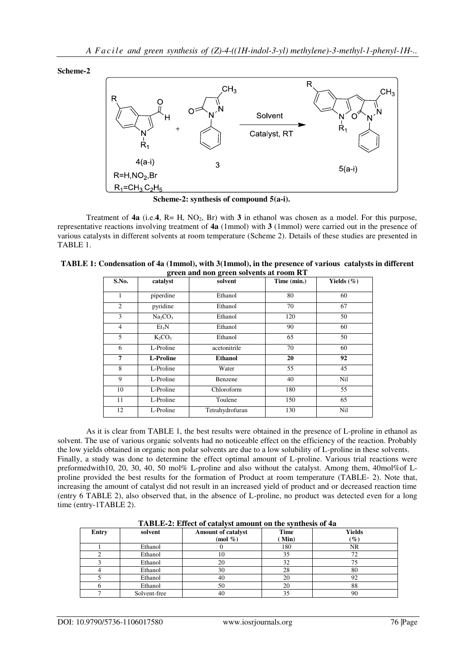



 **Scheme-2: synthesis of compound 5(a-i).** 

Treatment of **4a** (i.e.**4**, R= H, NO2, Br) with **3** in ethanol was chosen as a model. For this purpose, representative reactions involving treatment of **4a** (1mmol) with **3** (1mmol) were carried out in the presence of various catalysts in different solvents at room temperature (Scheme 2). Details of these studies are presented in TABLE 1.

| TABLE 1: Condensation of 4a (1mmol), with 3(1mmol), in the presence of various catalysts in different |  |
|-------------------------------------------------------------------------------------------------------|--|
| green and non green solvents at room RT                                                               |  |

| S.No.          | catalyst                        | solvent         | Time (min.) | Yields $(\%)$ |
|----------------|---------------------------------|-----------------|-------------|---------------|
| 1              | piperdine                       | Ethanol         | 80          | 60            |
| $\overline{c}$ | pyridine                        | Ethanol         | 70          | 67            |
| 3              | Na <sub>2</sub> CO <sub>3</sub> | Ethanol         | 120         | 50            |
| $\overline{4}$ | Et <sub>3</sub> N               | Ethanol         | 90          | 60            |
| 5              | $K_2CO_3$                       | Ethanol         | 65          | 50            |
| 6              | L-Proline                       | acetonitrile    | 70          | 60            |
| 7              | L-Proline                       | <b>Ethanol</b>  | 20          | 92            |
| 8              | L-Proline                       | Water           | 55          | 45            |
| 9              | L-Proline                       | Benzene         | 40          | Nil           |
| 10             | L-Proline                       | Chloroform      | 180         | 55            |
| 11             | L-Proline                       | Toulene         | 150         | 65            |
| 12             | L-Proline                       | Tetrahydrofuran | 130         | Nil           |

As it is clear from TABLE 1, the best results were obtained in the presence of L-proline in ethanol as solvent. The use of various organic solvents had no noticeable effect on the efficiency of the reaction. Probably the low yields obtained in organic non polar solvents are due to a low solubility of L-proline in these solvents. Finally, a study was done to determine the effect optimal amount of L-proline. Various trial reactions were preformedwith10, 20, 30, 40, 50 mol% L-proline and also without the catalyst. Among them, 40mol%of Lproline provided the best results for the formation of Product at room temperature (TABLE- 2). Note that, increasing the amount of catalyst did not result in an increased yield of product and or decreased reaction time (entry 6 TABLE 2), also observed that, in the absence of L-proline, no product was detected even for a long time (entry-1TABLE 2).

**TABLE-2: Effect of catalyst amount on the synthesis of 4a** 

| <b>Entry</b> | solvent      | <b>Amount of catalyst</b> | <b>Time</b> | <b>Yields</b> |
|--------------|--------------|---------------------------|-------------|---------------|
|              |              | (mol $\%$ )               | (Min)       | $(\%)$        |
|              | Ethanol      |                           | 180         | <b>NR</b>     |
|              | Ethanol      | 10                        | 35          | 72            |
|              | Ethanol      | 20                        | 32          | 75            |
|              | Ethanol      | 30                        | 28          | 80            |
|              | Ethanol      | 40                        | 20          | 92            |
|              | Ethanol      | 50                        | 20          | 88            |
|              | Solvent-free | 40                        | 35          | 90            |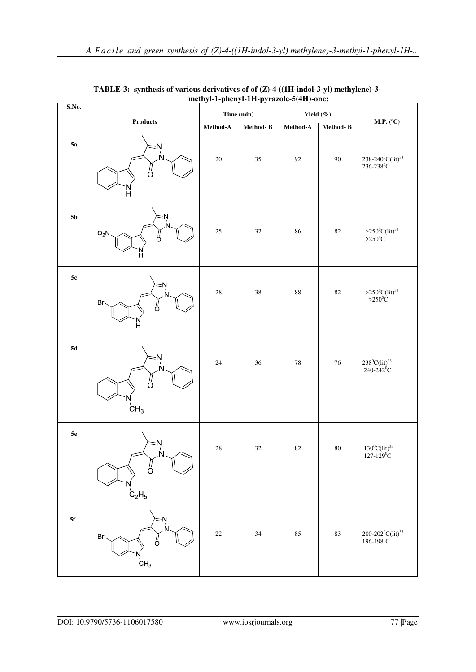| S.No.         |                                      | Time (min) |          | Yield $(\% )$     |          |                                                               |
|---------------|--------------------------------------|------------|----------|-------------------|----------|---------------------------------------------------------------|
|               | Products                             | Method-A   | Method-B | Method-A          | Method-B | M.P. (°C)                                                     |
| 5a            | =N<br>Ĥ                              | $20\,$     | $35\,$   | $\ensuremath{92}$ | $90\,$   | $\frac{238-240^0C{(lit)}^{33}}{236-238^0C}$                   |
| ${\bf 5b}$    | $=$ N<br>$O_2N$<br>O<br>Ĥ            | $25\,$     | $32\,$   | 86                | $82\,$   | $>250^0C(lit)^{33}$<br>$>250^0C$                              |
| 5c            | $=$ N<br>Br<br>O                     | $28\,$     | $38\,$   | $88\,$            | 82       | >250 <sup>0</sup> C(lit) <sup>33</sup><br>>250 <sup>0</sup> C |
| ${\bf 5d}$    | ٠N<br>CH <sub>3</sub>                | 24         | 36       | $78\,$            | $76\,$   | $238^0C(lit)^{33}$<br>$240 - 242$ <sup>o</sup> C              |
| $5\mathrm{e}$ | ۰N<br>$\frac{11}{10}$<br>$C_2H_5$    | $28\,$     | $32\,$   | $82\,$            | $80\,$   | $130^0C(lit)^{33}$<br>$127 - 129$ <sup>o</sup> C              |
| ${\bf 5f}$    | $=$ N<br>Br-<br>O<br>CH <sub>3</sub> | $22\,$     | $34\,$   | 85                | 83       | $\frac{200\text{-}202^0C{(lit)^{33}}}{196\text{-}198^0C}$     |

**TABLE-3: synthesis of various derivatives of of (Z)-4-((1H-indol-3-yl) methylene)-3 methyl-1-phenyl-1H-pyrazole-5(4H)-one:**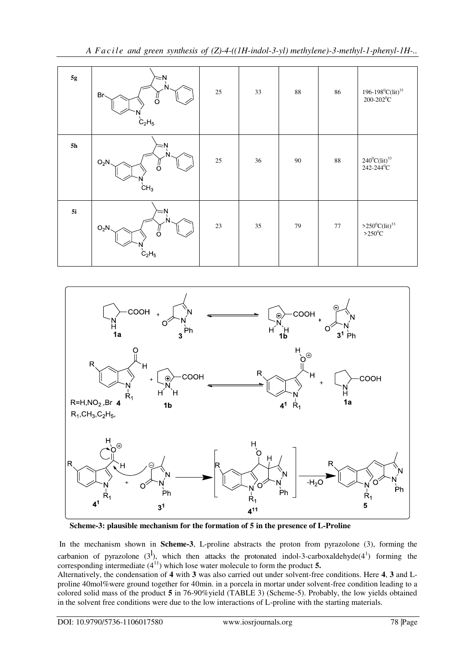| $5\mathrm{g}$ | $=$ N<br>N<br>Br.<br>ö<br>$C_2H_5$                                          | 25     | 33     | $88\,$ | 86       | $\frac{196 \text{-} 198^0 \text{C (lit)}^{33}}{200 \text{-} 202^0 \text{C}}$ |
|---------------|-----------------------------------------------------------------------------|--------|--------|--------|----------|------------------------------------------------------------------------------|
| $5\mathrm{h}$ | $\equiv$ N<br>Ń<br>$O_2N$ .<br>ő<br>N<br>CH <sub>3</sub>                    | $25\,$ | 36     | $90\,$ | $\bf 88$ | $240^0C(lit)^{33}$<br>242-244 <sup>0</sup> C                                 |
| 5i            | $\equiv$ N<br>N<br>$O_2N$<br>ő<br>$N$ <sub>C<sub>2</sub>H<sub>5</sub></sub> | $23\,$ | $35\,$ | 79     | $77 \,$  | $>$ 250 <sup>0</sup> C(lit) <sup>33</sup><br>>250 <sup>0</sup> C             |



 **Scheme-3: plausible mechanism for the formation of 5 in the presence of L-Proline**

 In the mechanism shown in **Scheme-3**, L-proline abstracts the proton from pyrazolone (3), forming the carbanion of pyrazolone  $(3^l)$ , which then attacks the protonated indol-3-carboxaldehyde $(4^l)$  forming the corresponding intermediate  $(4^{11})$  which lose water molecule to form the product **5.** 

Alternatively, the condensation of **4** with **3** was also carried out under solvent-free conditions. Here **4**, **3** and Lproline 40mol%were ground together for 40min. in a porcela in mortar under solvent-free condition leading to a colored solid mass of the product **5** in 76-90%yield (TABLE 3) (Scheme-5). Probably, the low yields obtained in the solvent free conditions were due to the low interactions of L-proline with the starting materials.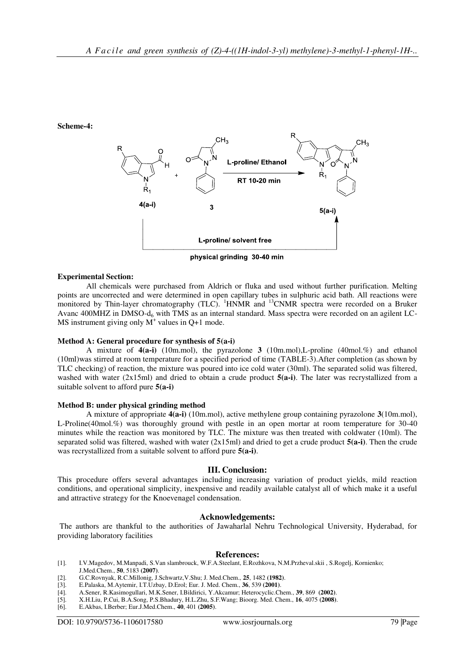**Scheme-4:** 



physical grinding 30-40 min

### **Experimental Section:**

All chemicals were purchased from Aldrich or fluka and used without further purification. Melting points are uncorrected and were determined in open capillary tubes in sulphuric acid bath. All reactions were monitored by Thin-layer chromatography (TLC). <sup>1</sup>HNMR and <sup>13</sup>CNMR spectra were recorded on a Bruker Avanc 400MHZ in DMSO-d<sub>6</sub> with TMS as an internal standard. Mass spectra were recorded on an agilent LC-MS instrument giving only  $M^+$  values in Q+1 mode.

### **Method A: General procedure for synthesis of 5(a-i)**

A mixture of **4(a-i)** (10m.mol), the pyrazolone **3** (10m.mol),L-proline (40mol.%) and ethanol (10ml)was stirred at room temperature for a specified period of time (TABLE-3).After completion (as shown by TLC checking) of reaction, the mixture was poured into ice cold water (30ml). The separated solid was filtered, washed with water (2x15ml) and dried to obtain a crude product **5(a-i)**. The later was recrystallized from a suitable solvent to afford pure **5(a-i)** 

### **Method B: under physical grinding method**

A mixture of appropriate **4(a-i)** (10m.mol), active methylene group containing pyrazolone **3**(10m.mol), L-Proline(40mol.%) was thoroughly ground with pestle in an open mortar at room temperature for 30-40 minutes while the reaction was monitored by TLC. The mixture was then treated with coldwater (10ml). The separated solid was filtered, washed with water (2x15ml) and dried to get a crude product **5(a-i)**. Then the crude was recrystallized from a suitable solvent to afford pure **5(a-i)**.

### **III. Conclusion:**

This procedure offers several advantages including increasing variation of product yields, mild reaction conditions, and operational simplicity, inexpensive and readily available catalyst all of which make it a useful and attractive strategy for the Knoevenagel condensation.

#### **Acknowledgements:**

 The authors are thankful to the authorities of Jawaharlal Nehru Technological University, Hyderabad, for providing laboratory facilities

### **References:**

- [1]. I.V.Magedov, M.Manpadi, S.Van slambrouck, W.F.A.Steelant, E.Rozhkova, N.M.Przheval.skii , S.Rogelj, Kornienko; J.Med.Chem., **50**, 5183 **(2007)**.
- [2]. G.C.Rovnyak, R.C.Millonig, J.Schwartz,V.Shu; J. Med.Chem., **25**, 1482 **(1982)**.
- [3]. E.Palaska, M.Aytemir, I.T.Uzbay, D.Erol; Eur. J. Med. Chem., **36**, 539 **(2001)**.
- [4]. A.Sener, R.Kasimogullari, M.K.Sener, I.Bildirici, Y.Akcamur; Heterocyclic.Chem., **39**, 869 **(2002)**.
- [5]. X.H.Liu, P.Cui, B.A.Song, P.S.Bhadury, H.L.Zhu, S.F.Wang; Bioorg. Med. Chem., **16**, 4075 **(2008)**.
- [6]. E.Akbas, I.Berber; Eur.J.Med.Chem., **40**, 401 **(2005)**.